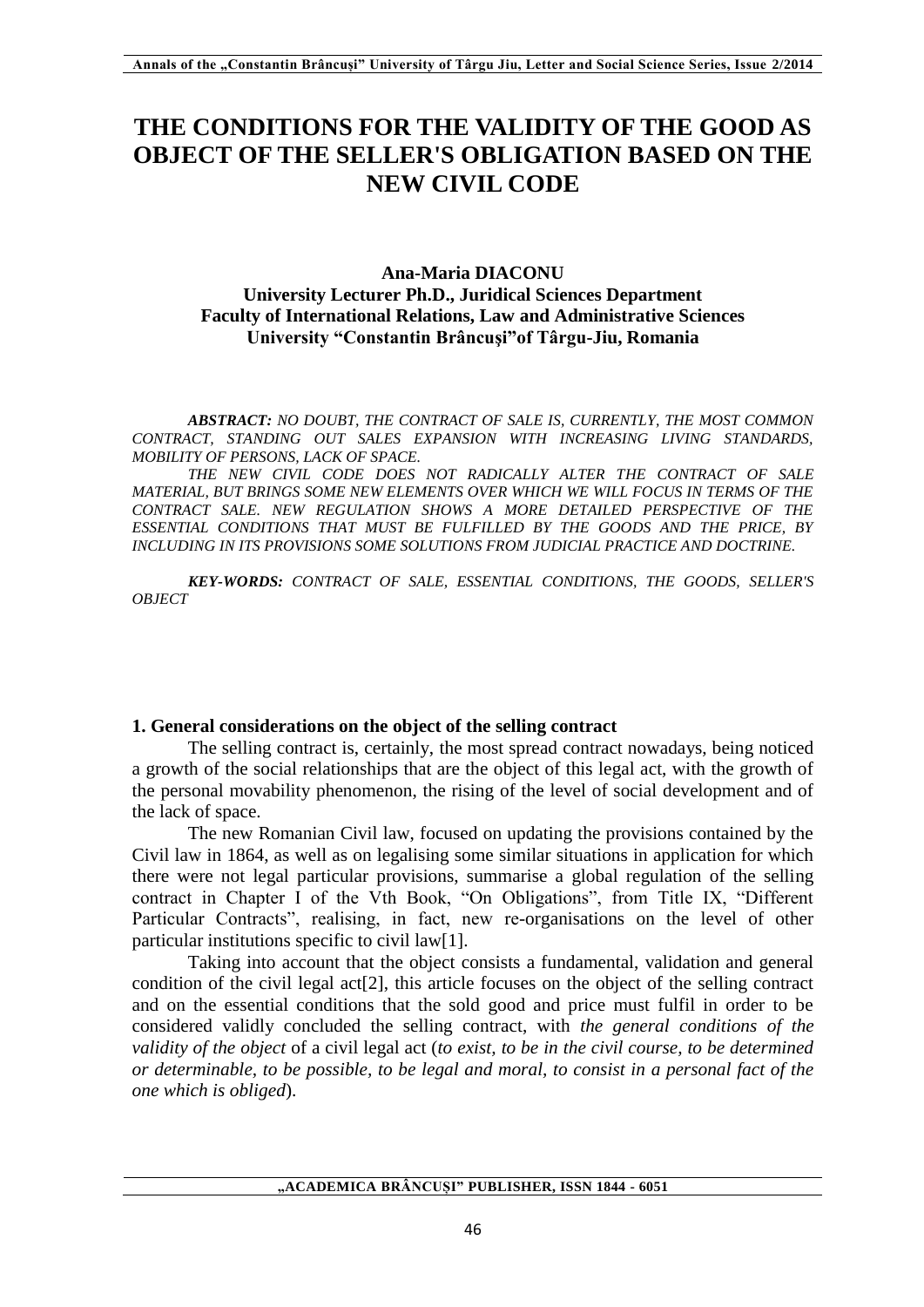# **THE CONDITIONS FOR THE VALIDITY OF THE GOOD AS OBJECT OF THE SELLER'S OBLIGATION BASED ON THE NEW CIVIL CODE**

### **Ana-Maria DIACONU University Lecturer Ph.D., Juridical Sciences Department Faculty of International Relations, Law and Administrative Sciences University "Constantin Brâncuşi"of Târgu-Jiu, Romania**

*ABSTRACT: NO DOUBT, THE CONTRACT OF SALE IS, CURRENTLY, THE MOST COMMON CONTRACT, STANDING OUT SALES EXPANSION WITH INCREASING LIVING STANDARDS, MOBILITY OF PERSONS, LACK OF SPACE.*

*THE NEW CIVIL CODE DOES NOT RADICALLY ALTER THE CONTRACT OF SALE MATERIAL, BUT BRINGS SOME NEW ELEMENTS OVER WHICH WE WILL FOCUS IN TERMS OF THE CONTRACT SALE. NEW REGULATION SHOWS A MORE DETAILED PERSPECTIVE OF THE ESSENTIAL CONDITIONS THAT MUST BE FULFILLED BY THE GOODS AND THE PRICE, BY INCLUDING IN ITS PROVISIONS SOME SOLUTIONS FROM JUDICIAL PRACTICE AND DOCTRINE.*

*KEY-WORDS: CONTRACT OF SALE, ESSENTIAL CONDITIONS, THE GOODS, SELLER'S OBJECT*

#### **1. General considerations on the object of the selling contract**

The selling contract is, certainly, the most spread contract nowadays, being noticed a growth of the social relationships that are the object of this legal act, with the growth of the personal movability phenomenon, the rising of the level of social development and of the lack of space.

The new Romanian Civil law, focused on updating the provisions contained by the Civil law in 1864, as well as on legalising some similar situations in application for which there were not legal particular provisions, summarise a global regulation of the selling contract in Chapter I of the Vth Book, "On Obligations", from Title IX, "Different Particular Contracts", realising, in fact, new re-organisations on the level of other particular institutions specific to civil law[1].

Taking into account that the object consists a fundamental, validation and general condition of the civil legal act[2], this article focuses on the object of the selling contract and on the essential conditions that the sold good and price must fulfil in order to be considered validly concluded the selling contract, with *the general conditions of the validity of the object* of a civil legal act (*to exist, to be in the civil course, to be determined or determinable, to be possible, to be legal and moral, to consist in a personal fact of the one which is obliged*).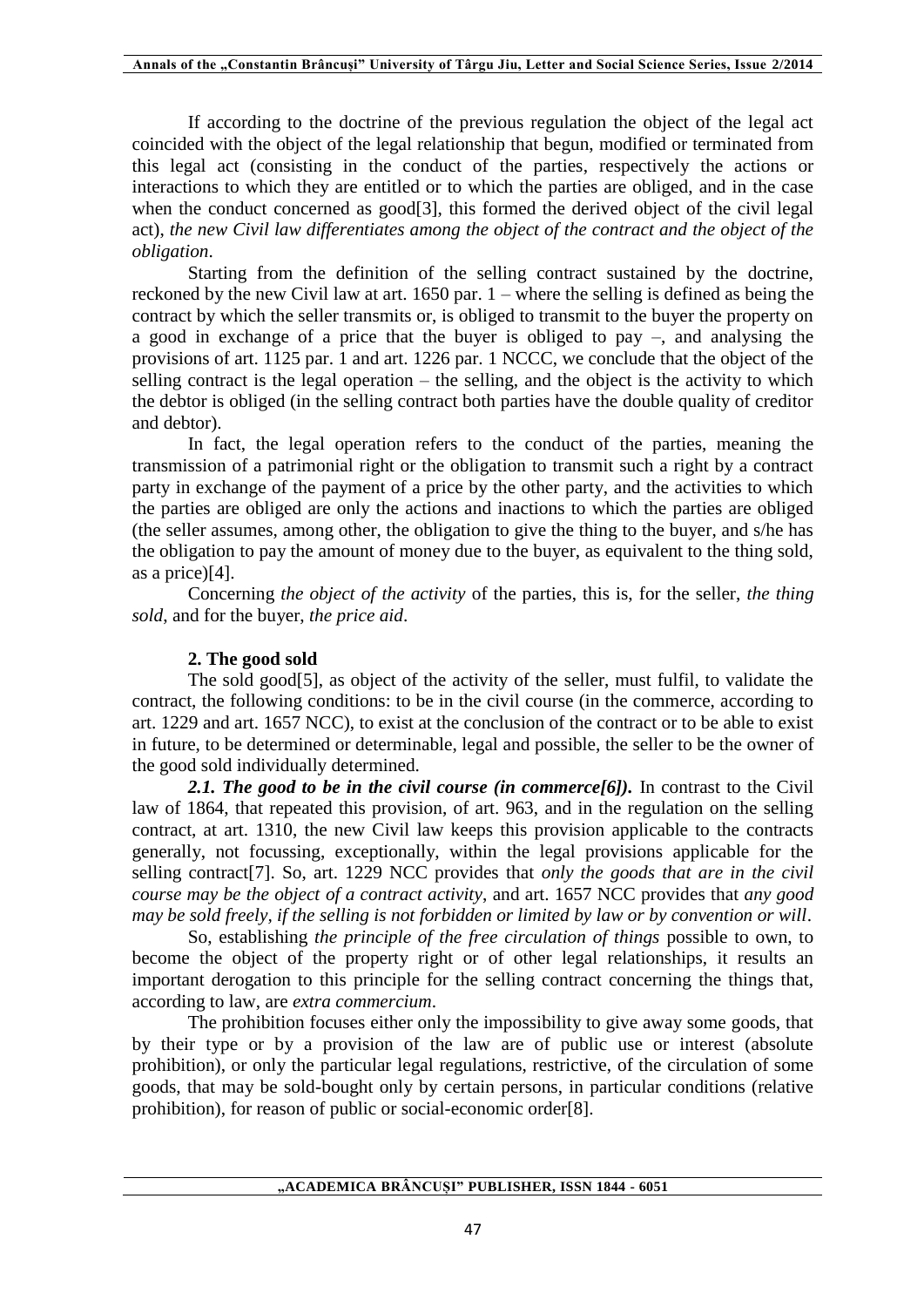If according to the doctrine of the previous regulation the object of the legal act coincided with the object of the legal relationship that begun, modified or terminated from this legal act (consisting in the conduct of the parties, respectively the actions or interactions to which they are entitled or to which the parties are obliged, and in the case when the conduct concerned as good[3], this formed the derived object of the civil legal act), *the new Civil law differentiates among the object of the contract and the object of the obligation*.

Starting from the definition of the selling contract sustained by the doctrine, reckoned by the new Civil law at art. 1650 par. 1 – where the selling is defined as being the contract by which the seller transmits or, is obliged to transmit to the buyer the property on a good in exchange of a price that the buyer is obliged to pay –, and analysing the provisions of art. 1125 par. 1 and art. 1226 par. 1 NCCC, we conclude that the object of the selling contract is the legal operation  $-$  the selling, and the object is the activity to which the debtor is obliged (in the selling contract both parties have the double quality of creditor and debtor).

In fact, the legal operation refers to the conduct of the parties, meaning the transmission of a patrimonial right or the obligation to transmit such a right by a contract party in exchange of the payment of a price by the other party, and the activities to which the parties are obliged are only the actions and inactions to which the parties are obliged (the seller assumes, among other, the obligation to give the thing to the buyer, and s/he has the obligation to pay the amount of money due to the buyer, as equivalent to the thing sold, as a price)[4].

Concerning *the object of the activity* of the parties, this is, for the seller, *the thing sold*, and for the buyer, *the price aid*.

# **2. The good sold**

The sold good[5], as object of the activity of the seller, must fulfil, to validate the contract, the following conditions: to be in the civil course (in the commerce, according to art. 1229 and art. 1657 NCC), to exist at the conclusion of the contract or to be able to exist in future, to be determined or determinable, legal and possible, the seller to be the owner of the good sold individually determined.

*2.1. The good to be in the civil course (in commerce[6]).* In contrast to the Civil law of 1864, that repeated this provision, of art. 963, and in the regulation on the selling contract, at art. 1310, the new Civil law keeps this provision applicable to the contracts generally, not focussing, exceptionally, within the legal provisions applicable for the selling contract[7]. So, art. 1229 NCC provides that *only the goods that are in the civil course may be the object of a contract activity*, and art. 1657 NCC provides that *any good may be sold freely, if the selling is not forbidden or limited by law or by convention or will*.

So, establishing *the principle of the free circulation of things* possible to own, to become the object of the property right or of other legal relationships, it results an important derogation to this principle for the selling contract concerning the things that, according to law, are *extra commercium*.

The prohibition focuses either only the impossibility to give away some goods, that by their type or by a provision of the law are of public use or interest (absolute prohibition), or only the particular legal regulations, restrictive, of the circulation of some goods, that may be sold-bought only by certain persons, in particular conditions (relative prohibition), for reason of public or social-economic order[8].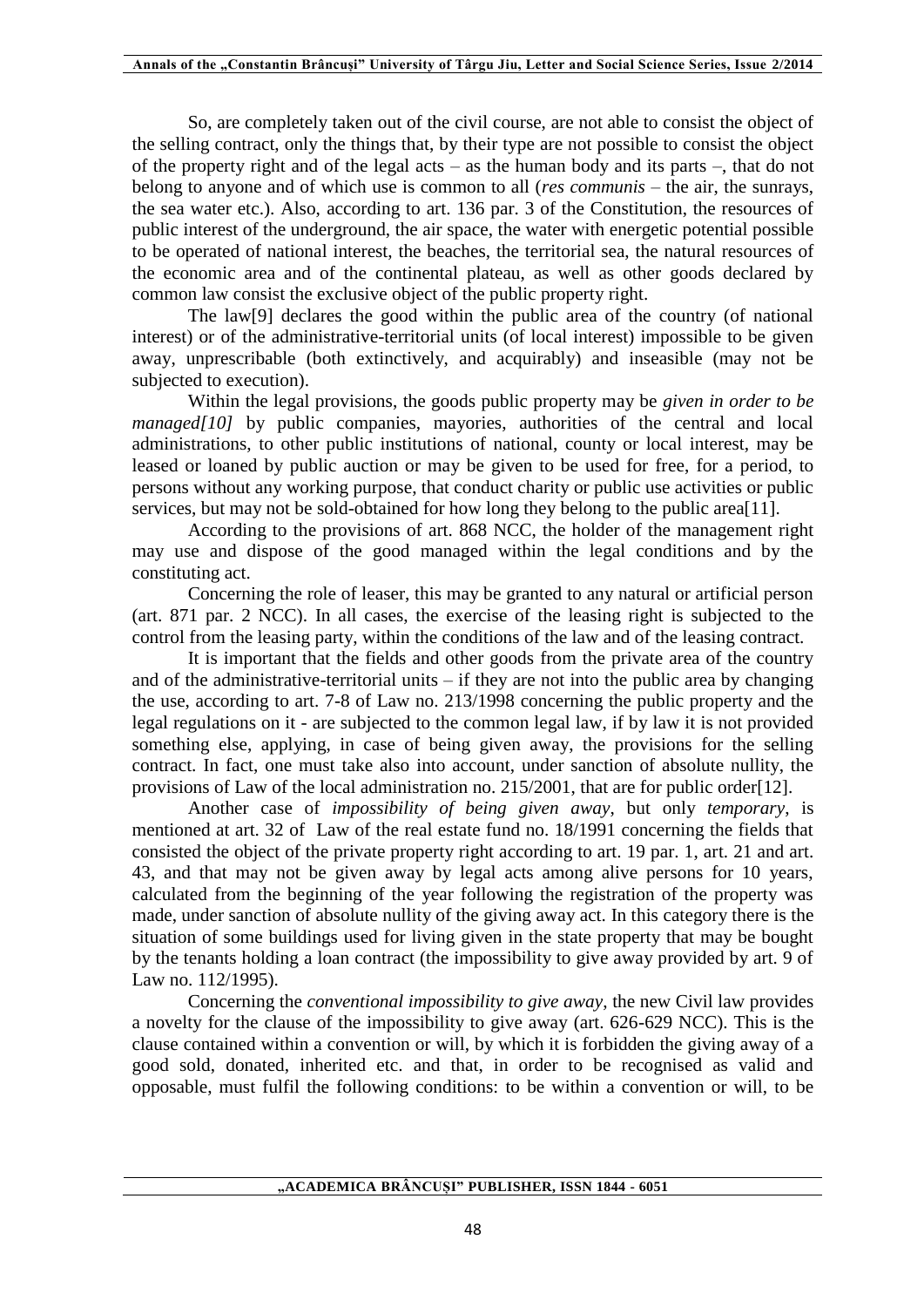So, are completely taken out of the civil course, are not able to consist the object of the selling contract, only the things that, by their type are not possible to consist the object of the property right and of the legal acts – as the human body and its parts –, that do not belong to anyone and of which use is common to all (*res communis* – the air, the sunrays, the sea water etc.). Also, according to art. 136 par. 3 of the Constitution, the resources of public interest of the underground, the air space, the water with energetic potential possible to be operated of national interest, the beaches, the territorial sea, the natural resources of the economic area and of the continental plateau, as well as other goods declared by common law consist the exclusive object of the public property right.

The law[9] declares the good within the public area of the country (of national interest) or of the administrative-territorial units (of local interest) impossible to be given away, unprescribable (both extinctively, and acquirably) and inseasible (may not be subjected to execution).

Within the legal provisions, the goods public property may be *given in order to be managed*[10] by public companies, mayories, authorities of the central and local administrations, to other public institutions of national, county or local interest, may be leased or loaned by public auction or may be given to be used for free, for a period, to persons without any working purpose, that conduct charity or public use activities or public services, but may not be sold-obtained for how long they belong to the public area[11].

According to the provisions of art. 868 NCC, the holder of the management right may use and dispose of the good managed within the legal conditions and by the constituting act.

Concerning the role of leaser, this may be granted to any natural or artificial person (art. 871 par. 2 NCC). In all cases, the exercise of the leasing right is subjected to the control from the leasing party, within the conditions of the law and of the leasing contract.

It is important that the fields and other goods from the private area of the country and of the administrative-territorial units  $-$  if they are not into the public area by changing the use, according to art. 7-8 of Law no. 213/1998 concerning the public property and the legal regulations on it - are subjected to the common legal law, if by law it is not provided something else, applying, in case of being given away, the provisions for the selling contract. In fact, one must take also into account, under sanction of absolute nullity, the provisions of Law of the local administration no. 215/2001, that are for public order[12].

Another case of *impossibility of being given away*, but only *temporary*, is mentioned at art. 32 of Law of the real estate fund no. 18/1991 concerning the fields that consisted the object of the private property right according to art. 19 par. 1, art. 21 and art. 43, and that may not be given away by legal acts among alive persons for 10 years, calculated from the beginning of the year following the registration of the property was made, under sanction of absolute nullity of the giving away act. In this category there is the situation of some buildings used for living given in the state property that may be bought by the tenants holding a loan contract (the impossibility to give away provided by art. 9 of Law no. 112/1995).

Concerning the *conventional impossibility to give away*, the new Civil law provides a novelty for the clause of the impossibility to give away (art. 626-629 NCC). This is the clause contained within a convention or will, by which it is forbidden the giving away of a good sold, donated, inherited etc. and that, in order to be recognised as valid and opposable, must fulfil the following conditions: to be within a convention or will, to be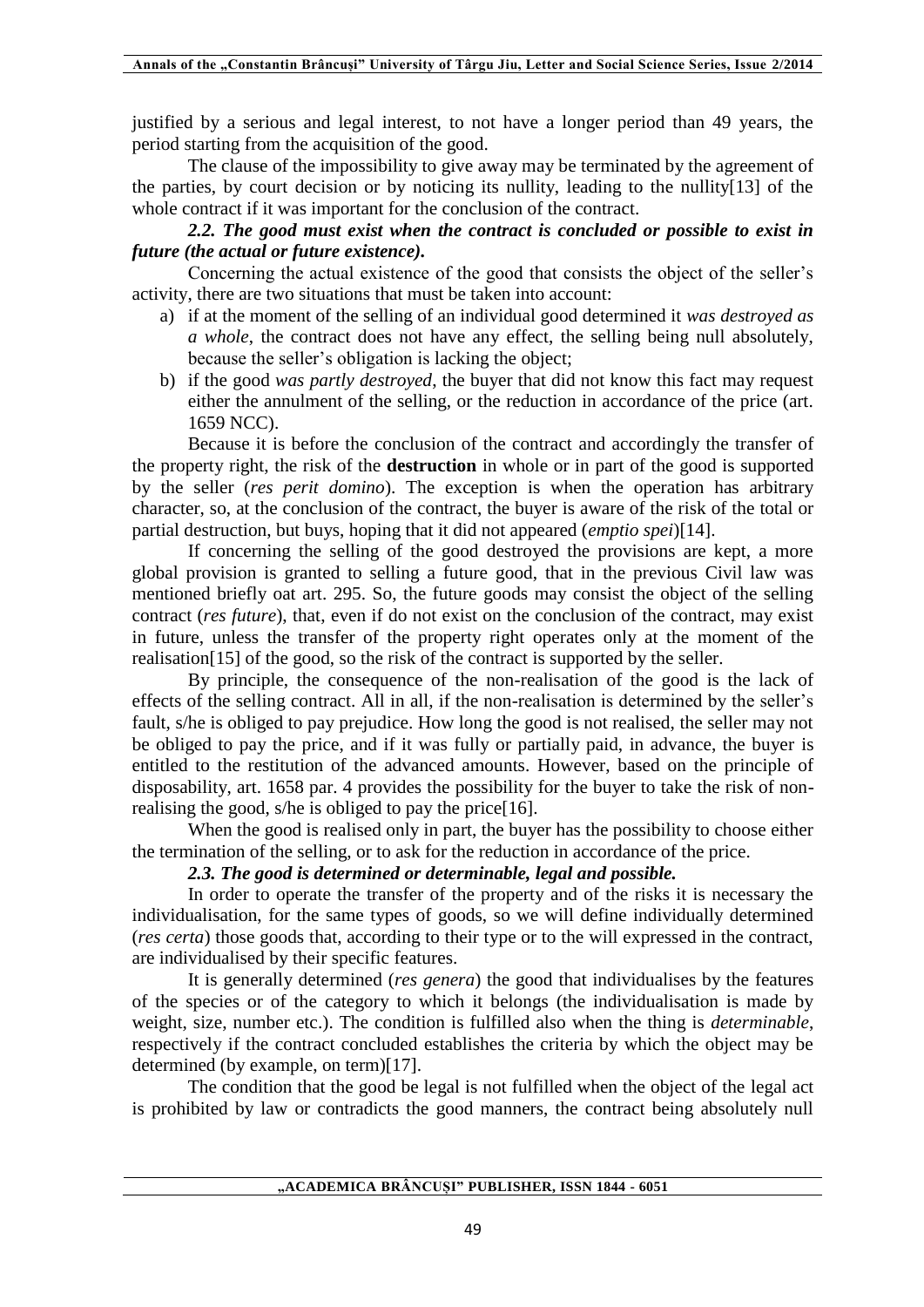justified by a serious and legal interest, to not have a longer period than 49 years, the period starting from the acquisition of the good.

The clause of the impossibility to give away may be terminated by the agreement of the parties, by court decision or by noticing its nullity, leading to the nullity[13] of the whole contract if it was important for the conclusion of the contract.

# *2.2. The good must exist when the contract is concluded or possible to exist in future (the actual or future existence).*

Concerning the actual existence of the good that consists the object of the seller's activity, there are two situations that must be taken into account:

- a) if at the moment of the selling of an individual good determined it *was destroyed as a whole*, the contract does not have any effect, the selling being null absolutely, because the seller's obligation is lacking the object;
- b) if the good *was partly destroyed*, the buyer that did not know this fact may request either the annulment of the selling, or the reduction in accordance of the price (art. 1659 NCC).

Because it is before the conclusion of the contract and accordingly the transfer of the property right, the risk of the **destruction** in whole or in part of the good is supported by the seller (*res perit domino*). The exception is when the operation has arbitrary character, so, at the conclusion of the contract, the buyer is aware of the risk of the total or partial destruction, but buys, hoping that it did not appeared (*emptio spei*)[14].

If concerning the selling of the good destroyed the provisions are kept, a more global provision is granted to selling a future good, that in the previous Civil law was mentioned briefly oat art. 295. So, the future goods may consist the object of the selling contract (*res future*), that, even if do not exist on the conclusion of the contract, may exist in future, unless the transfer of the property right operates only at the moment of the realisation[15] of the good, so the risk of the contract is supported by the seller.

By principle, the consequence of the non-realisation of the good is the lack of effects of the selling contract. All in all, if the non-realisation is determined by the seller's fault, s/he is obliged to pay prejudice. How long the good is not realised, the seller may not be obliged to pay the price, and if it was fully or partially paid, in advance, the buyer is entitled to the restitution of the advanced amounts. However, based on the principle of disposability, art. 1658 par. 4 provides the possibility for the buyer to take the risk of nonrealising the good, s/he is obliged to pay the price[16].

When the good is realised only in part, the buyer has the possibility to choose either the termination of the selling, or to ask for the reduction in accordance of the price.

#### *2.3. The good is determined or determinable, legal and possible.*

In order to operate the transfer of the property and of the risks it is necessary the individualisation, for the same types of goods, so we will define individually determined (*res certa*) those goods that, according to their type or to the will expressed in the contract, are individualised by their specific features.

It is generally determined (*res genera*) the good that individualises by the features of the species or of the category to which it belongs (the individualisation is made by weight, size, number etc.). The condition is fulfilled also when the thing is *determinable*, respectively if the contract concluded establishes the criteria by which the object may be determined (by example, on term)[17].

The condition that the good be legal is not fulfilled when the object of the legal act is prohibited by law or contradicts the good manners, the contract being absolutely null

**"ACADEMICA BRÂNCUȘI" PUBLISHER, ISSN 1844 - 6051**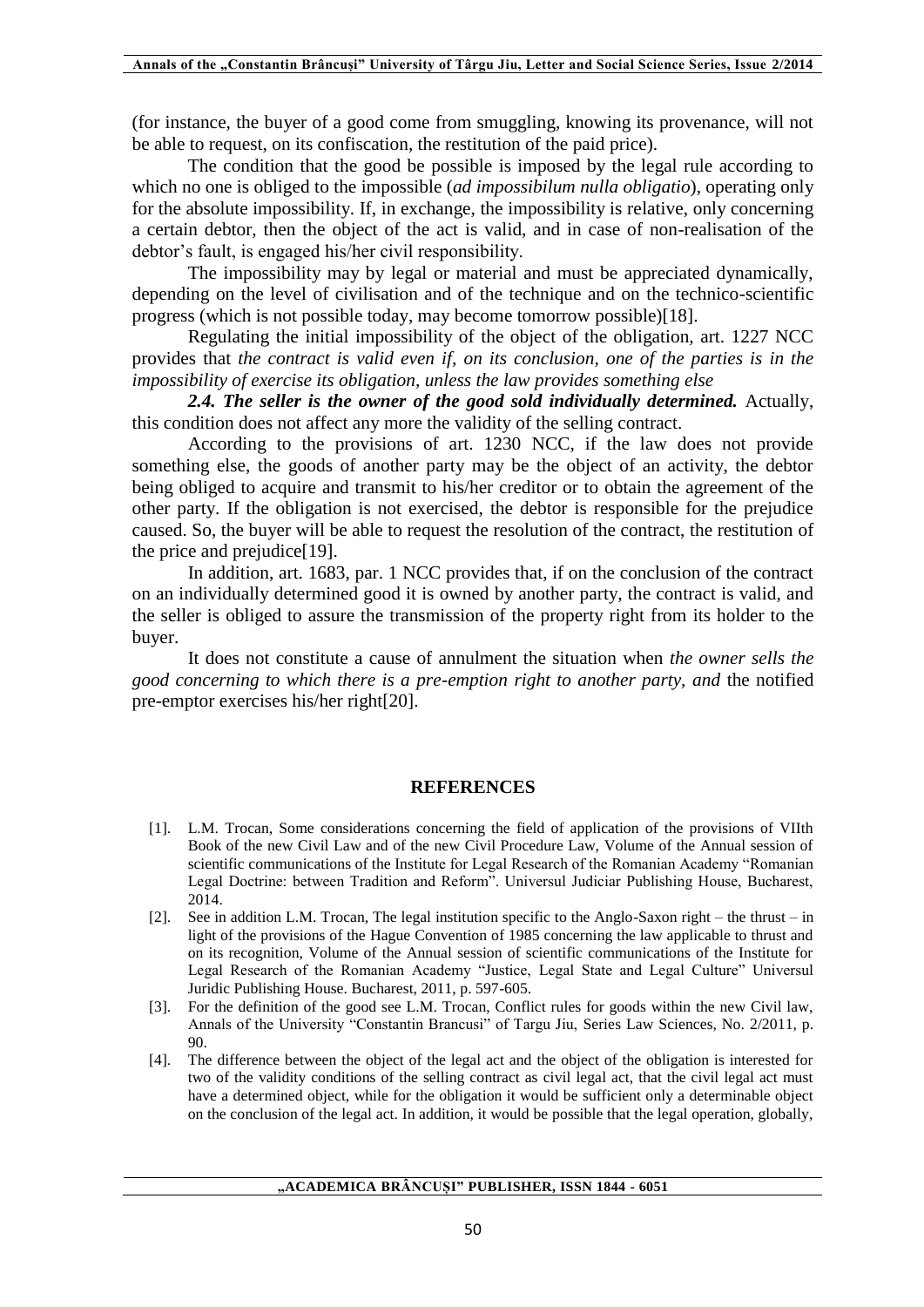(for instance, the buyer of a good come from smuggling, knowing its provenance, will not be able to request, on its confiscation, the restitution of the paid price).

The condition that the good be possible is imposed by the legal rule according to which no one is obliged to the impossible (*ad impossibilum nulla obligatio*), operating only for the absolute impossibility. If, in exchange, the impossibility is relative, only concerning a certain debtor, then the object of the act is valid, and in case of non-realisation of the debtor's fault, is engaged his/her civil responsibility.

The impossibility may by legal or material and must be appreciated dynamically, depending on the level of civilisation and of the technique and on the technico-scientific progress (which is not possible today, may become tomorrow possible)[18].

Regulating the initial impossibility of the object of the obligation, art. 1227 NCC provides that *the contract is valid even if, on its conclusion, one of the parties is in the impossibility of exercise its obligation, unless the law provides something else*

*2.4. The seller is the owner of the good sold individually determined.* Actually, this condition does not affect any more the validity of the selling contract.

According to the provisions of art. 1230 NCC, if the law does not provide something else, the goods of another party may be the object of an activity, the debtor being obliged to acquire and transmit to his/her creditor or to obtain the agreement of the other party. If the obligation is not exercised, the debtor is responsible for the prejudice caused. So, the buyer will be able to request the resolution of the contract, the restitution of the price and prejudice[19].

In addition, art. 1683, par. 1 NCC provides that, if on the conclusion of the contract on an individually determined good it is owned by another party, the contract is valid, and the seller is obliged to assure the transmission of the property right from its holder to the buyer.

It does not constitute a cause of annulment the situation when *the owner sells the good concerning to which there is a pre-emption right to another party, and* the notified pre-emptor exercises his/her right[20].

#### **REFERENCES**

- [1]. L.M. Trocan, Some considerations concerning the field of application of the provisions of VIIth Book of the new Civil Law and of the new Civil Procedure Law, Volume of the Annual session of scientific communications of the Institute for Legal Research of the Romanian Academy "Romanian Legal Doctrine: between Tradition and Reform". Universul Judiciar Publishing House, Bucharest, 2014.
- [2]. See in addition L.M. Trocan, The legal institution specific to the Anglo-Saxon right the thrust in light of the provisions of the Hague Convention of 1985 concerning the law applicable to thrust and on its recognition, Volume of the Annual session of scientific communications of the Institute for Legal Research of the Romanian Academy "Justice, Legal State and Legal Culture" Universul Juridic Publishing House. Bucharest, 2011, p. 597-605.
- [3]. For the definition of the good see L.M. Trocan, Conflict rules for goods within the new Civil law, Annals of the University "Constantin Brancusi" of Targu Jiu, Series Law Sciences, No. 2/2011, p. 90.
- [4]. The difference between the object of the legal act and the object of the obligation is interested for two of the validity conditions of the selling contract as civil legal act, that the civil legal act must have a determined object, while for the obligation it would be sufficient only a determinable object on the conclusion of the legal act. In addition, it would be possible that the legal operation, globally,